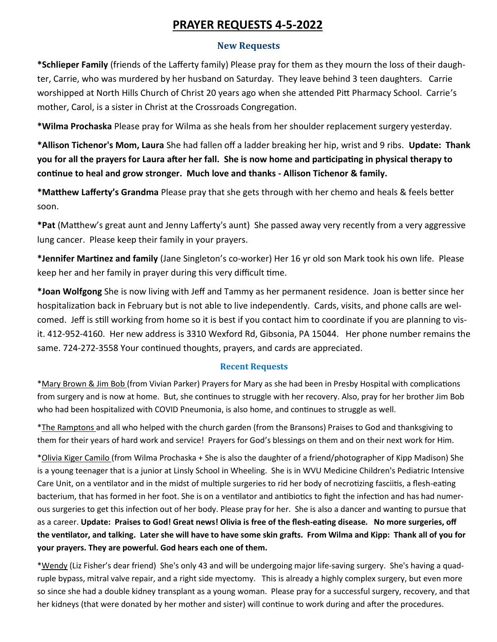# **PRAYER REQUESTS 4-5-2022**

## **New Requests**

**\*Schlieper Family** (friends of the Lafferty family) Please pray for them as they mourn the loss of their daughter, Carrie, who was murdered by her husband on Saturday. They leave behind 3 teen daughters. Carrie worshipped at North Hills Church of Christ 20 years ago when she attended Pitt Pharmacy School. Carrie's mother, Carol, is a sister in Christ at the Crossroads Congregation.

**\*Wilma Prochaska** Please pray for Wilma as she heals from her shoulder replacement surgery yesterday.

**\*Allison Tichenor's Mom, Laura** She had fallen off a ladder breaking her hip, wrist and 9 ribs. **Update: Thank you for all the prayers for Laura after her fall. She is now home and participating in physical therapy to continue to heal and grow stronger. Much love and thanks - Allison Tichenor & family.** 

**\*Matthew Lafferty's Grandma** Please pray that she gets through with her chemo and heals & feels better soon.

**\*Pat** (Matthew's great aunt and Jenny Lafferty's aunt) She passed away very recently from a very aggressive lung cancer. Please keep their family in your prayers.

**\*Jennifer Martinez and family** (Jane Singleton's co-worker) Her 16 yr old son Mark took his own life. Please keep her and her family in prayer during this very difficult time.

**\*Joan Wolfgong** She is now living with Jeff and Tammy as her permanent residence. Joan is better since her hospitalization back in February but is not able to live independently. Cards, visits, and phone calls are welcomed. Jeff is still working from home so it is best if you contact him to coordinate if you are planning to visit. 412-952-4160. Her new address is 3310 Wexford Rd, Gibsonia, PA 15044. Her phone number remains the same. 724-272-3558 Your continued thoughts, prayers, and cards are appreciated.

## **Recent Requests**

\*Mary Brown & Jim Bob (from Vivian Parker) Prayers for Mary as she had been in Presby Hospital with complications from surgery and is now at home. But, she continues to struggle with her recovery. Also, pray for her brother Jim Bob who had been hospitalized with COVID Pneumonia, is also home, and continues to struggle as well.

\*The Ramptons and all who helped with the church garden (from the Bransons) Praises to God and thanksgiving to them for their years of hard work and service! Prayers for God's blessings on them and on their next work for Him.

\*Olivia Kiger Camilo (from Wilma Prochaska + She is also the daughter of a friend/photographer of Kipp Madison) She is a young teenager that is a junior at Linsly School in Wheeling. She is in WVU Medicine Children's Pediatric Intensive Care Unit, on a ventilator and in the midst of multiple surgeries to rid her body of necrotizing fasciitis, a flesh-eating bacterium, that has formed in her foot. She is on a ventilator and antibiotics to fight the infection and has had numerous surgeries to get this infection out of her body. Please pray for her. She is also a dancer and wanting to pursue that as a career. **Update: Praises to God! Great news! Olivia is free of the flesh-eating disease. No more surgeries, off the ventilator, and talking. Later she will have to have some skin grafts. From Wilma and Kipp: Thank all of you for your prayers. They are powerful. God hears each one of them.** 

\*Wendy (Liz Fisher's dear friend) She's only 43 and will be undergoing major life-saving surgery. She's having a quadruple bypass, mitral valve repair, and a right side myectomy. This is already a highly complex surgery, but even more so since she had a double kidney transplant as a young woman. Please pray for a successful surgery, recovery, and that her kidneys (that were donated by her mother and sister) will continue to work during and after the procedures.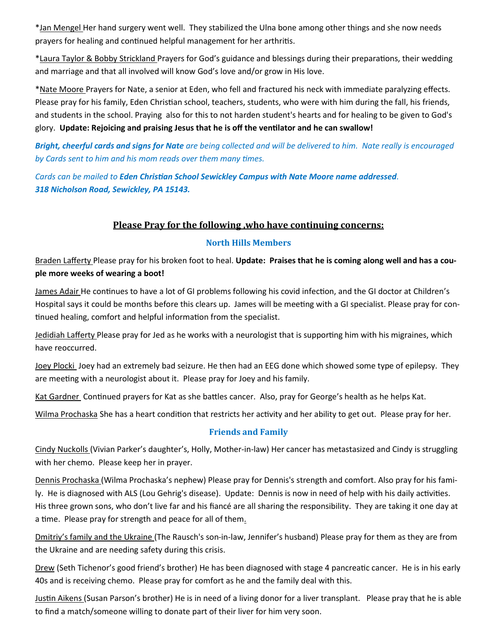\*Jan Mengel Her hand surgery went well. They stabilized the Ulna bone among other things and she now needs prayers for healing and continued helpful management for her arthritis.

\*Laura Taylor & Bobby Strickland Prayers for God's guidance and blessings during their preparations, their wedding and marriage and that all involved will know God's love and/or grow in His love.

\*Nate Moore Prayers for Nate, a senior at Eden, who fell and fractured his neck with immediate paralyzing effects. Please pray for his family, Eden Christian school, teachers, students, who were with him during the fall, his friends, and students in the school. Praying also for this to not harden student's hearts and for healing to be given to God's glory. **Update: Rejoicing and praising Jesus that he is off the ventilator and he can swallow!** 

*Bright, cheerful cards and signs for Nate are being collected and will be delivered to him. Nate really is encouraged by Cards sent to him and his mom reads over them many times.* 

*Cards can be mailed to Eden Christian School Sewickley Campus with Nate Moore name addressed. 318 Nicholson Road, Sewickley, PA 15143.* 

# **Please Pray for the following ,who have continuing concerns:**

## **North Hills Members**

Braden Lafferty Please pray for his broken foot to heal. **Update: Praises that he is coming along well and has a couple more weeks of wearing a boot!**

James Adair He continues to have a lot of GI problems following his covid infection, and the GI doctor at Children's Hospital says it could be months before this clears up. James will be meeting with a GI specialist. Please pray for continued healing, comfort and helpful information from the specialist.

Jedidiah Lafferty Please pray for Jed as he works with a neurologist that is supporting him with his migraines, which have reoccurred.

Joey Plocki Joey had an extremely bad seizure. He then had an EEG done which showed some type of epilepsy. They are meeting with a neurologist about it. Please pray for Joey and his family.

Kat Gardner Continued prayers for Kat as she battles cancer. Also, pray for George's health as he helps Kat.

Wilma Prochaska She has a heart condition that restricts her activity and her ability to get out. Please pray for her.

## **Friends and Family**

Cindy Nuckolls (Vivian Parker's daughter's, Holly, Mother-in-law) Her cancer has metastasized and Cindy is struggling with her chemo. Please keep her in prayer.

Dennis Prochaska (Wilma Prochaska's nephew) Please pray for Dennis's strength and comfort. Also pray for his family. He is diagnosed with ALS (Lou Gehrig's disease). Update: Dennis is now in need of help with his daily activities. His three grown sons, who don't live far and his fiancé are all sharing the responsibility. They are taking it one day at a time. Please pray for strength and peace for all of them.

Dmitriy's family and the Ukraine (The Rausch's son-in-law, Jennifer's husband) Please pray for them as they are from the Ukraine and are needing safety during this crisis.

Drew (Seth Tichenor's good friend's brother) He has been diagnosed with stage 4 pancreatic cancer. He is in his early 40s and is receiving chemo. Please pray for comfort as he and the family deal with this.

Justin Aikens (Susan Parson's brother) He is in need of a living donor for a liver transplant. Please pray that he is able to find a match/someone willing to donate part of their liver for him very soon.